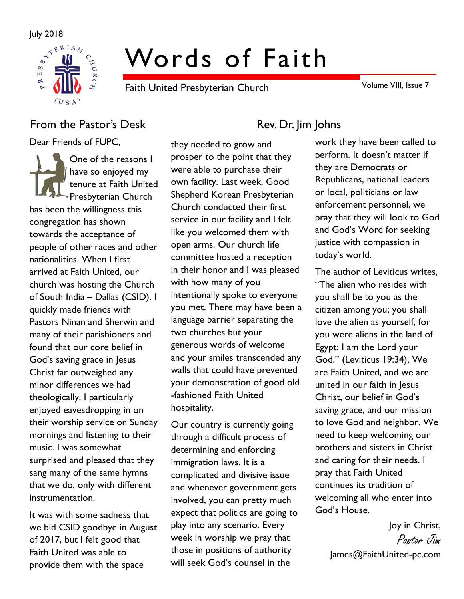

# Words of Faith

Faith United Presbyterian Church

Volume VIII, Issue 7

## From the Pastor's Desk Rev. Dr. Jim Johns

Dear Friends of FUPC,

One of the reasons I have so enjoyed my tenure at Faith United Presbyterian Church has been the willingness this congregation has shown towards the acceptance of people of other races and other nationalities. When I first arrived at Faith United, our church was hosting the Church of South India – Dallas (CSID). I quickly made friends with Pastors Ninan and Sherwin and many of their parishioners and found that our core belief in God's saving grace in Jesus Christ far outweighed any minor differences we had theologically. I particularly enjoyed eavesdropping in on their worship service on Sunday mornings and listening to their music. I was somewhat surprised and pleased that they sang many of the same hymns that we do, only with different instrumentation.

It was with some sadness that we bid CSID goodbye in August of 2017, but I felt good that Faith United was able to provide them with the space

they needed to grow and prosper to the point that they were able to purchase their own facility. Last week, Good Shepherd Korean Presbyterian Church conducted their first service in our facility and I felt like you welcomed them with open arms. Our church life committee hosted a reception in their honor and I was pleased with how many of you intentionally spoke to everyone you met. There may have been a language barrier separating the two churches but your generous words of welcome and your smiles transcended any walls that could have prevented your demonstration of good old -fashioned Faith United hospitality.

Our country is currently going through a difficult process of determining and enforcing immigration laws. It is a complicated and divisive issue and whenever government gets involved, you can pretty much expect that politics are going to play into any scenario. Every week in worship we pray that those in positions of authority will seek God's counsel in the

work they have been called to perform. It doesn't matter if they are Democrats or Republicans, national leaders or local, politicians or law enforcement personnel, we pray that they will look to God and God's Word for seeking justice with compassion in today's world.

The author of Leviticus writes, "The alien who resides with you shall be to you as the citizen among you; you shall love the alien as yourself, for you were aliens in the land of Egypt; I am the Lord your God." (Leviticus 19:34). We are Faith United, and we are united in our faith in Jesus Christ, our belief in God's saving grace, and our mission to love God and neighbor. We need to keep welcoming our brothers and sisters in Christ and caring for their needs. I pray that Faith United continues its tradition of welcoming all who enter into God's House.

Joy in Christ, Pastor Jim James@FaithUnited-pc.com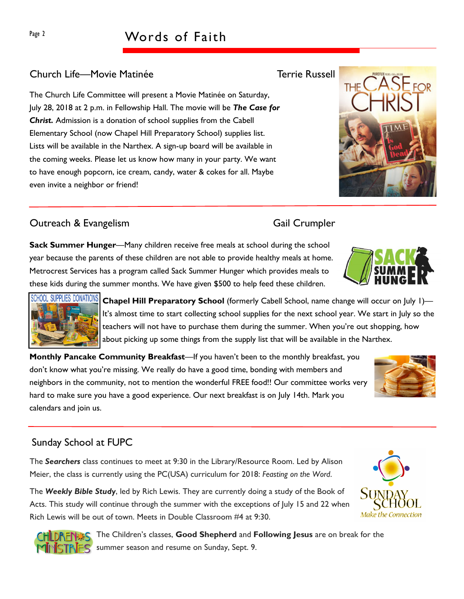# Page 2 Words of Faith

### Church Life—Movie Matinée Terrie Russell

The Church Life Committee will present a Movie Matinée on Saturday, July 28, 2018 at 2 p.m. in Fellowship Hall. The movie will be The Case for Christ. Admission is a donation of school supplies from the Cabell Elementary School (now Chapel Hill Preparatory School) supplies list. Lists will be available in the Narthex. A sign-up board will be available in the coming weeks. Please let us know how many in your party. We want to have enough popcorn, ice cream, candy, water & cokes for all. Maybe even invite a neighbor or friend!

### Outreach & Evangelism Gail Crumpler

Sack Summer Hunger—Many children receive free meals at school during the school year because the parents of these children are not able to provide healthy meals at home. Metrocrest Services has a program called Sack Summer Hunger which provides meals to these kids during the summer months. We have given \$500 to help feed these children.

SUPPLIES DONATIONS Chapel Hill Preparatory School (formerly Cabell School, name change will occur on July 1)-It's almost time to start collecting school supplies for the next school year. We start in July so the teachers will not have to purchase them during the summer. When you're out shopping, how about picking up some things from the supply list that will be available in the Narthex.

Monthly Pancake Community Breakfast—If you haven't been to the monthly breakfast, you don't know what you're missing. We really do have a good time, bonding with members and neighbors in the community, not to mention the wonderful FREE food!! Our committee works very hard to make sure you have a good experience. Our next breakfast is on July 14th. Mark you calendars and join us.

### Sunday School at FUPC

The Searchers class continues to meet at 9:30 in the Library/Resource Room. Led by Alison Meier, the class is currently using the PC(USA) curriculum for 2018: Feasting on the Word.

The Weekly Bible Study, led by Rich Lewis. They are currently doing a study of the Book of Acts. This study will continue through the summer with the exceptions of July 15 and 22 when Rich Lewis will be out of town. Meets in Double Classroom #4 at 9:30.

> The Children's classes, Good Shepherd and Following Jesus are on break for the summer season and resume on Sunday, Sept. 9.







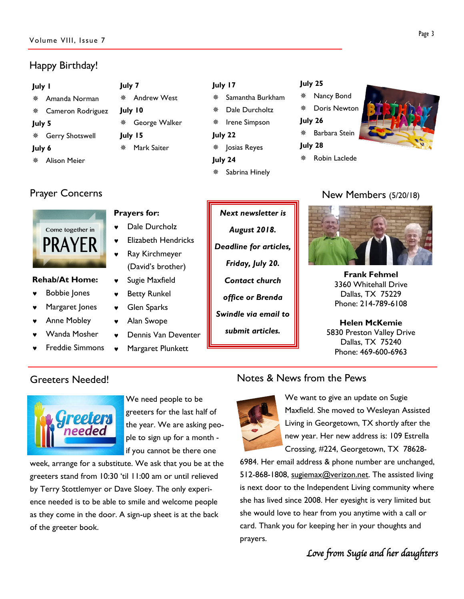### Volume VIII, Issue 7

### Happy Birthday!

### July 1

- Amanda Norman Cameron Rodriguez July 5 Gerry Shotswell July 6 July 7 July 10
- Alison Meier



### Rehab/At Home:

- ♥ Bobbie Jones
- Margaret Jones
- Anne Mobley
- Wanda Mosher
- **Freddie Simmons**

### Prayers for:

- ♥ Dale Durcholz
- **Flizabeth Hendricks**

Andrew West

George Walker

Mark Saiter

July 15

- **Ray Kirchmeyer** (David's brother)
- Sugie Maxfield
- **Betty Runkel**
- ♥ Glen Sparks
- Alan Swope
- Dennis Van Deventer
- Margaret Plunkett

### July 17

- Samantha Burkham
- Dale Durcholtz
- ※ Irene Simpson
- July 22
- Josias Reyes July 24
- Sabrina Hinely

### July 25

- Nancy Bond
- Doris Newton
- July 26
- Barbara Stein
- July 28
	- Robin Laclede



### Prayer Concerns **New Members** (5/20/18)



Frank Fehmel 3360 Whitehall Drive Dallas, TX 75229 Phone: 214-789-6108

Helen McKemie 5830 Preston Valley Drive Dallas, TX 75240 Phone: 469-600-6963

### Greeters Needed!



We need people to be greeters for the last half of the year. We are asking people to sign up for a month if you cannot be there one

week, arrange for a substitute. We ask that you be at the greeters stand from 10:30 'til 11:00 am or until relieved by Terry Stottlemyer or Dave Sloey. The only experience needed is to be able to smile and welcome people as they come in the door. A sign-up sheet is at the back of the greeter book.

### Notes & News from the Pews



We want to give an update on Sugie Maxfield. She moved to Wesleyan Assisted Living in Georgetown, TX shortly after the new year. Her new address is: 109 Estrella Crossing, #224, Georgetown, TX 78628-

6984. Her email address & phone number are unchanged, 512-868-1808, sugiemax@verizon.net. The assisted living is next door to the Independent Living community where she has lived since 2008. Her eyesight is very limited but she would love to hear from you anytime with a call or card. Thank you for keeping her in your thoughts and prayers.

Love from Sugie and her daughters

# Next newsletter is August 2018. Deadline for articles, Friday, July 20. Contact church office or Brenda

Swindle via email to

submit articles.